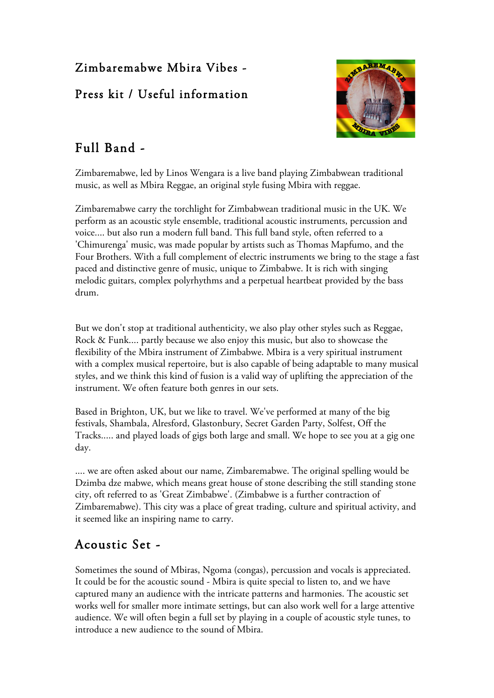### Zimbaremabwe Mbira Vibes -

#### Press kit / Useful information



# Full Band -

Zimbaremabwe, led by Linos Wengara is a live band playing Zimbabwean traditional music, as well as Mbira Reggae, an original style fusing Mbira with reggae.

Zimbaremabwe carry the torchlight for Zimbabwean traditional music in the UK. We perform as an acoustic style ensemble, traditional acoustic instruments, percussion and voice.... but also run a modern full band. This full band style, often referred to a 'Chimurenga' music, was made popular by artists such as Thomas Mapfumo, and the Four Brothers. With a full complement of electric instruments we bring to the stage a fast paced and distinctive genre of music, unique to Zimbabwe. It is rich with singing melodic guitars, complex polyrhythms and a perpetual heartbeat provided by the bass drum.

But we don't stop at traditional authenticity, we also play other styles such as Reggae, Rock & Funk.... partly because we also enjoy this music, but also to showcase the flexibility of the Mbira instrument of Zimbabwe. Mbira is a very spiritual instrument with a complex musical repertoire, but is also capable of being adaptable to many musical styles, and we think this kind of fusion is a valid way of uplifting the appreciation of the instrument. We often feature both genres in our sets.

Based in Brighton, UK, but we like to travel. We've performed at many of the big festivals, Shambala, Alresford, Glastonbury, Secret Garden Party, Solfest, Off the Tracks..... and played loads of gigs both large and small. We hope to see you at a gig one day.

.... we are often asked about our name, Zimbaremabwe. The original spelling would be Dzimba dze mabwe, which means great house of stone describing the still standing stone city, oft referred to as 'Great Zimbabwe'. (Zimbabwe is a further contraction of Zimbaremabwe). This city was a place of great trading, culture and spiritual activity, and it seemed like an inspiring name to carry.

# Acoustic Set -

Sometimes the sound of Mbiras, Ngoma (congas), percussion and vocals is appreciated. It could be for the acoustic sound - Mbira is quite special to listen to, and we have captured many an audience with the intricate patterns and harmonies. The acoustic set works well for smaller more intimate settings, but can also work well for a large attentive audience. We will often begin a full set by playing in a couple of acoustic style tunes, to introduce a new audience to the sound of Mbira.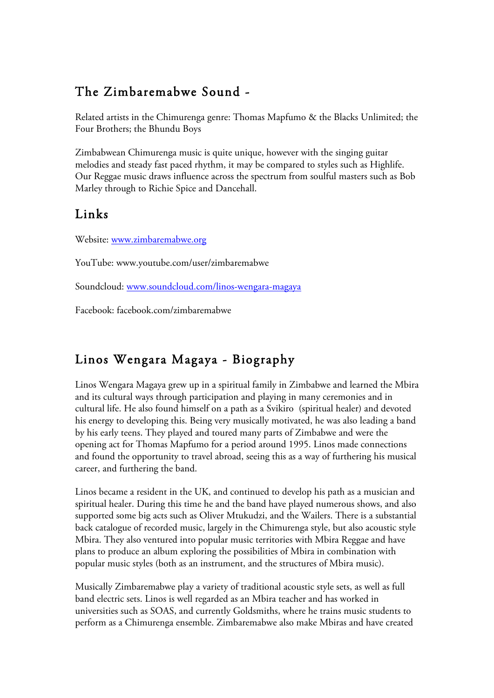## The Zimbaremabwe Sound -

Related artists in the Chimurenga genre: Thomas Mapfumo & the Blacks Unlimited; the Four Brothers; the Bhundu Boys

Zimbabwean Chimurenga music is quite unique, however with the singing guitar melodies and steady fast paced rhythm, it may be compared to styles such as Highlife. Our Reggae music draws influence across the spectrum from soulful masters such as Bob Marley through to Richie Spice and Dancehall.

#### Links

Website: www.zimbaremabwe.org

YouTube: www.youtube.com/user/zimbaremabwe

Soundcloud: www.soundcloud.com/linos-wengara-magaya

Facebook: facebook.com/zimbaremabwe

### Linos Wengara Magaya - Biography

Linos Wengara Magaya grew up in a spiritual family in Zimbabwe and learned the Mbira and its cultural ways through participation and playing in many ceremonies and in cultural life. He also found himself on a path as a Svikiro (spiritual healer) and devoted his energy to developing this. Being very musically motivated, he was also leading a band by his early teens. They played and toured many parts of Zimbabwe and were the opening act for Thomas Mapfumo for a period around 1995. Linos made connections and found the opportunity to travel abroad, seeing this as a way of furthering his musical career, and furthering the band.

Linos became a resident in the UK, and continued to develop his path as a musician and spiritual healer. During this time he and the band have played numerous shows, and also supported some big acts such as Oliver Mtukudzi, and the Wailers. There is a substantial back catalogue of recorded music, largely in the Chimurenga style, but also acoustic style Mbira. They also ventured into popular music territories with Mbira Reggae and have plans to produce an album exploring the possibilities of Mbira in combination with popular music styles (both as an instrument, and the structures of Mbira music).

Musically Zimbaremabwe play a variety of traditional acoustic style sets, as well as full band electric sets. Linos is well regarded as an Mbira teacher and has worked in universities such as SOAS, and currently Goldsmiths, where he trains music students to perform as a Chimurenga ensemble. Zimbaremabwe also make Mbiras and have created